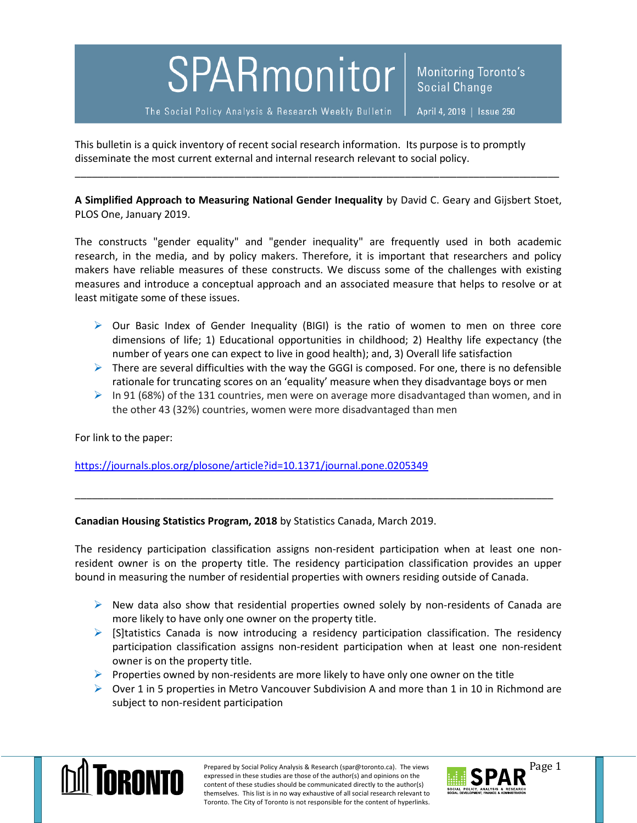## SPARmonitor

Monitoring Toronto's Social Change

The Social Policy Analysis & Research Weekly Bulletin

April 4, 2019 | Issue 250

This bulletin is a quick inventory of recent social research information. Its purpose is to promptly disseminate the most current external and internal research relevant to social policy.

**A Simplified Approach to Measuring National Gender Inequality** by David C. Geary and Gijsbert Stoet, PLOS One, January 2019.

\_\_\_\_\_\_\_\_\_\_\_\_\_\_\_\_\_\_\_\_\_\_\_\_\_\_\_\_\_\_\_\_\_\_\_\_\_\_\_\_\_\_\_\_\_\_\_\_\_\_\_\_\_\_\_\_\_\_\_\_\_\_\_\_\_\_\_\_\_\_\_\_\_\_\_\_\_\_\_\_\_\_\_\_\_

The constructs "gender equality" and "gender inequality" are frequently used in both academic research, in the media, and by policy makers. Therefore, it is important that researchers and policy makers have reliable measures of these constructs. We discuss some of the challenges with existing measures and introduce a conceptual approach and an associated measure that helps to resolve or at least mitigate some of these issues.

- $\triangleright$  Our Basic Index of Gender Inequality (BIGI) is the ratio of women to men on three core dimensions of life; 1) Educational opportunities in childhood; 2) Healthy life expectancy (the number of years one can expect to live in good health); and, 3) Overall life satisfaction
- $\triangleright$  There are several difficulties with the way the GGGI is composed. For one, there is no defensible rationale for truncating scores on an 'equality' measure when they disadvantage boys or men
- $\triangleright$  In 91 (68%) of the 131 countries, men were on average more disadvantaged than women, and in the other 43 (32%) countries, women were more disadvantaged than men

For link to the paper:

<https://journals.plos.org/plosone/article?id=10.1371/journal.pone.0205349>

**Canadian Housing Statistics Program, 2018** by Statistics Canada, March 2019.

The residency participation classification assigns non-resident participation when at least one nonresident owner is on the property title. The residency participation classification provides an upper bound in measuring the number of residential properties with owners residing outside of Canada.

\_\_\_\_\_\_\_\_\_\_\_\_\_\_\_\_\_\_\_\_\_\_\_\_\_\_\_\_\_\_\_\_\_\_\_\_\_\_\_\_\_\_\_\_\_\_\_\_\_\_\_\_\_\_\_\_\_\_\_\_\_\_\_\_\_\_\_\_\_\_\_\_\_\_\_\_\_\_\_\_\_\_\_\_

- $\triangleright$  New data also show that residential properties owned solely by non-residents of Canada are more likely to have only one owner on the property title.
- $\triangleright$  [S]tatistics Canada is now introducing a residency participation classification. The residency participation classification assigns non-resident participation when at least one non-resident owner is on the property title.
- $\triangleright$  Properties owned by non-residents are more likely to have only one owner on the title
- $\triangleright$  Over 1 in 5 properties in Metro Vancouver Subdivision A and more than 1 in 10 in Richmond are subject to non-resident participation



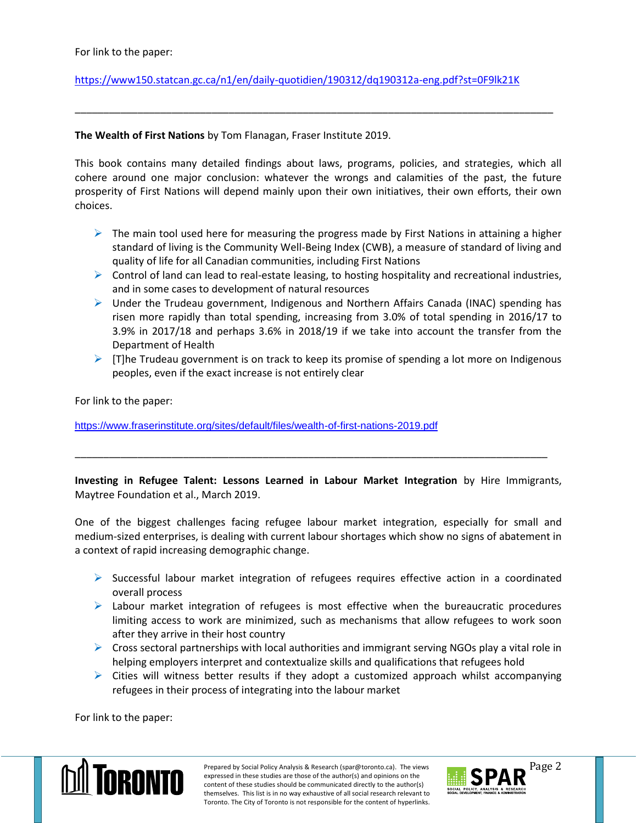## <https://www150.statcan.gc.ca/n1/en/daily-quotidien/190312/dq190312a-eng.pdf?st=0F9lk21K>

## **The Wealth of First Nations** by Tom Flanagan, Fraser Institute 2019.

This book contains many detailed findings about laws, programs, policies, and strategies, which all cohere around one major conclusion: whatever the wrongs and calamities of the past, the future prosperity of First Nations will depend mainly upon their own initiatives, their own efforts, their own choices.

\_\_\_\_\_\_\_\_\_\_\_\_\_\_\_\_\_\_\_\_\_\_\_\_\_\_\_\_\_\_\_\_\_\_\_\_\_\_\_\_\_\_\_\_\_\_\_\_\_\_\_\_\_\_\_\_\_\_\_\_\_\_\_\_\_\_\_\_\_\_\_\_\_\_\_\_\_\_\_\_\_\_\_\_

- $\triangleright$  The main tool used here for measuring the progress made by First Nations in attaining a higher standard of living is the Community Well-Being Index (CWB), a measure of standard of living and quality of life for all Canadian communities, including First Nations
- $\triangleright$  Control of land can lead to real-estate leasing, to hosting hospitality and recreational industries, and in some cases to development of natural resources
- $\triangleright$  Under the Trudeau government, Indigenous and Northern Affairs Canada (INAC) spending has risen more rapidly than total spending, increasing from 3.0% of total spending in 2016/17 to 3.9% in 2017/18 and perhaps 3.6% in 2018/19 if we take into account the transfer from the Department of Health
- $\triangleright$  [T]he Trudeau government is on track to keep its promise of spending a lot more on Indigenous peoples, even if the exact increase is not entirely clear

For link to the paper:

<https://www.fraserinstitute.org/sites/default/files/wealth-of-first-nations-2019.pdf>

**Investing in Refugee Talent: Lessons Learned in Labour Market Integration** by Hire Immigrants, Maytree Foundation et al., March 2019.

\_\_\_\_\_\_\_\_\_\_\_\_\_\_\_\_\_\_\_\_\_\_\_\_\_\_\_\_\_\_\_\_\_\_\_\_\_\_\_\_\_\_\_\_\_\_\_\_\_\_\_\_\_\_\_\_\_\_\_\_\_\_\_\_\_\_\_\_\_\_\_\_\_\_\_\_\_\_\_\_\_\_\_

One of the biggest challenges facing refugee labour market integration, especially for small and medium-sized enterprises, is dealing with current labour shortages which show no signs of abatement in a context of rapid increasing demographic change.

- $\triangleright$  Successful labour market integration of refugees requires effective action in a coordinated overall process
- $\triangleright$  Labour market integration of refugees is most effective when the bureaucratic procedures limiting access to work are minimized, such as mechanisms that allow refugees to work soon after they arrive in their host country
- $\triangleright$  Cross sectoral partnerships with local authorities and immigrant serving NGOs play a vital role in helping employers interpret and contextualize skills and qualifications that refugees hold
- $\triangleright$  Cities will witness better results if they adopt a customized approach whilst accompanying refugees in their process of integrating into the labour market

For link to the paper: